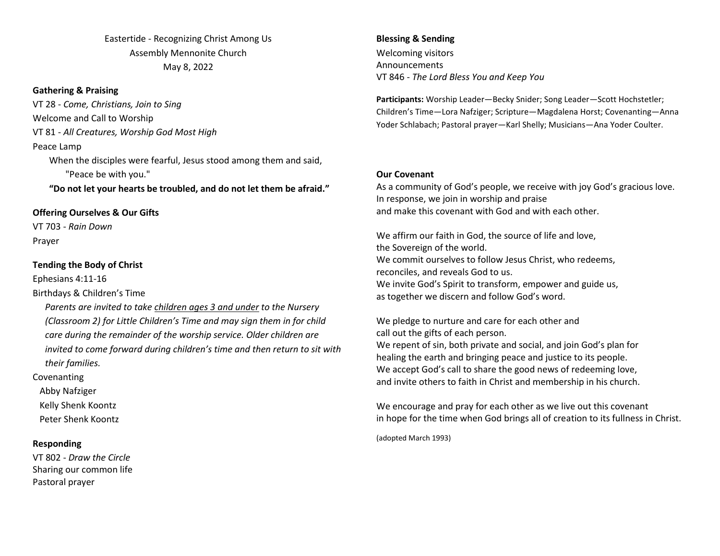Eastertide - Recognizing Christ Among Us Assembly Mennonite Church May 8, 2022

#### **Gathering & Praising**

VT 28 - *Come, Christians, Join to Sing* Welcome and Call to Worship VT 81 - *All Creatures, Worship God Most High* Peace Lamp When the disciples were fearful, Jesus stood among them and said,

"Peace be with you."

**"Do not let your hearts be troubled, and do not let them be afraid."**

## **Offering Ourselves & Our Gifts**

VT 703 - *Rain Down* Prayer

### **Tending the Body of Christ**

Ephesians 4:11-16

Birthdays & Children's Time

*Parents are invited to take children ages 3 and under to the Nursery (Classroom 2) for Little Children's Time and may sign them in for child care during the remainder of the worship service. Older children are invited to come forward during children's time and then return to sit with their families.*

Covenanting

Abby Nafziger

Kelly Shenk Koontz

Peter Shenk Koontz

## **Responding**

VT 802 - *Draw the Circle* Sharing our common life Pastoral prayer

**Blessing & Sending**  Welcoming visitors Announcements VT 846 - *The Lord Bless You and Keep You*

**Participants:** Worship Leader—Becky Snider; Song Leader—Scott Hochstetler; Children's Time—Lora Nafziger; Scripture—Magdalena Horst; Covenanting—Anna Yoder Schlabach; Pastoral prayer—Karl Shelly; Musicians—Ana Yoder Coulter.

#### **Our Covenant**

As a community of God's people, we receive with joy God's gracious love. In response, we join in worship and praise and make this covenant with God and with each other.

We affirm our faith in God, the source of life and love, the Sovereign of the world. We commit ourselves to follow Jesus Christ, who redeems, reconciles, and reveals God to us. We invite God's Spirit to transform, empower and guide us, as together we discern and follow God's word.

We pledge to nurture and care for each other and call out the gifts of each person. We repent of sin, both private and social, and join God's plan for healing the earth and bringing peace and justice to its people. We accept God's call to share the good news of redeeming love, and invite others to faith in Christ and membership in his church.

We encourage and pray for each other as we live out this covenant in hope for the time when God brings all of creation to its fullness in Christ.

(adopted March 1993)